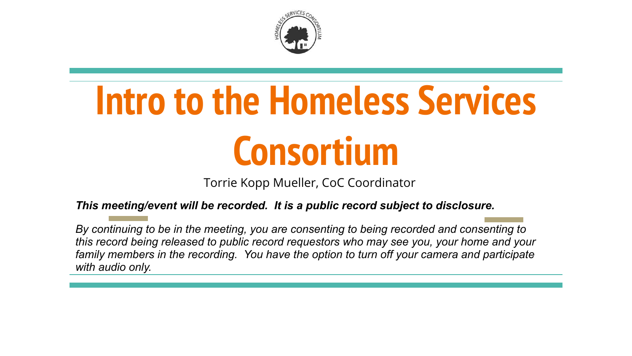

# **Intro to the Homeless Services Consortium**

Torrie Kopp Mueller, CoC Coordinator

*This meeting/event will be recorded. It is a public record subject to disclosure.*

*By continuing to be in the meeting, you are consenting to being recorded and consenting to this record being released to public record requestors who may see you, your home and your family members in the recording. You have the option to turn off your camera and participate with audio only.*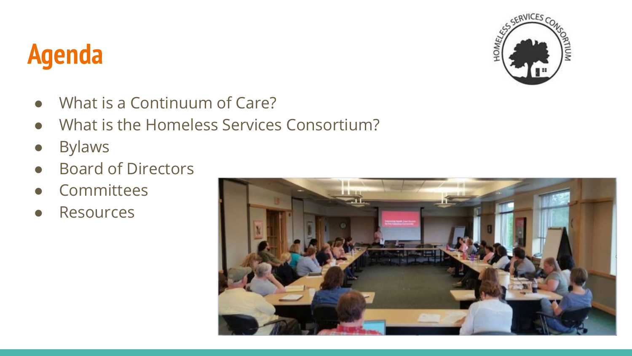### **Agenda**



- What is a Continuum of Care?
- What is the Homeless Services Consortium?
- Bylaws
- Board of Directors
- Committees
- Resources

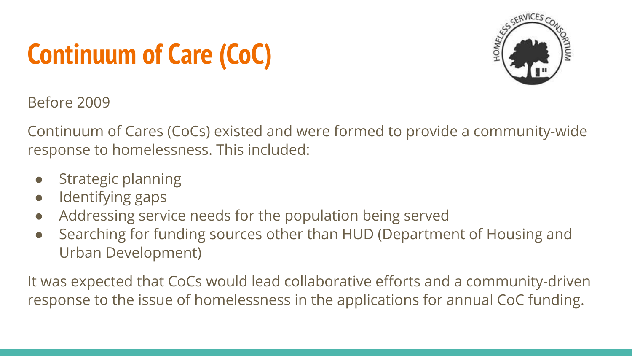# **Continuum of Care (CoC)**



Before 2009

Continuum of Cares (CoCs) existed and were formed to provide a community-wide response to homelessness. This included:

- Strategic planning
- Identifying gaps
- Addressing service needs for the population being served
- Searching for funding sources other than HUD (Department of Housing and Urban Development)

It was expected that CoCs would lead collaborative efforts and a community-driven response to the issue of homelessness in the applications for annual CoC funding.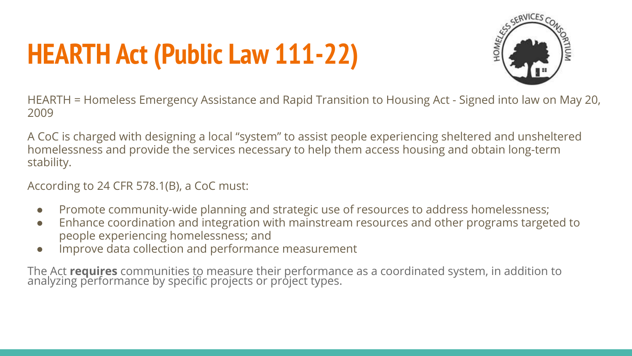# **HEARTH Act (Public Law 111-22)**



HEARTH = Homeless Emergency Assistance and Rapid Transition to Housing Act - Signed into law on May 20, 2009

A CoC is charged with designing a local "system" to assist people experiencing sheltered and unsheltered homelessness and provide the services necessary to help them access housing and obtain long-term stability.

According to 24 CFR 578.1(B), a CoC must:

- Promote community-wide planning and strategic use of resources to address homelessness;
- Enhance coordination and integration with mainstream resources and other programs targeted to people experiencing homelessness; and
- Improve data collection and performance measurement

The Act **requires** communities to measure their performance as a coordinated system, in addition to analyzing performance by specific projects or project types.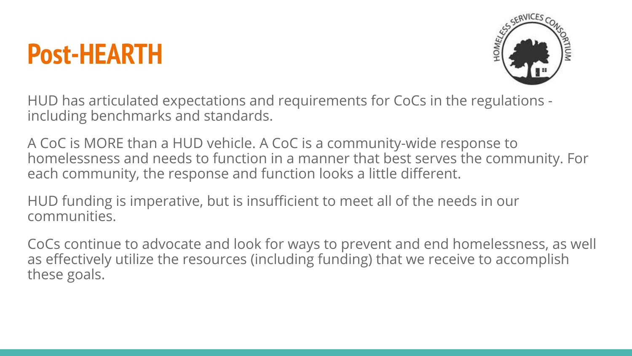### **Post-HEARTH**



HUD has articulated expectations and requirements for CoCs in the regulations including benchmarks and standards.

A CoC is MORE than a HUD vehicle. A CoC is a community-wide response to homelessness and needs to function in a manner that best serves the community. For each community, the response and function looks a little different.

HUD funding is imperative, but is insufficient to meet all of the needs in our communities.

CoCs continue to advocate and look for ways to prevent and end homelessness, as well as effectively utilize the resources (including funding) that we receive to accomplish these goals.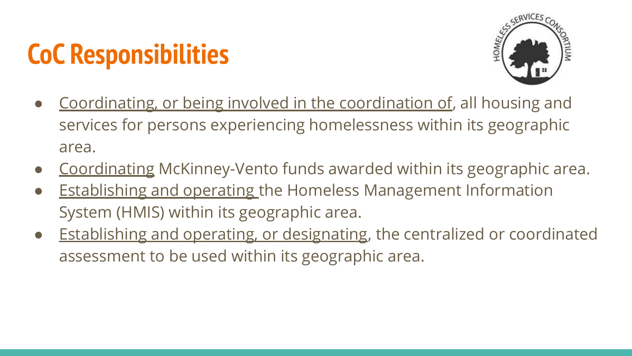# **CoC Responsibilities**



- Coordinating, or being involved in the coordination of, all housing and services for persons experiencing homelessness within its geographic area.
- Coordinating McKinney-Vento funds awarded within its geographic area.
- Establishing and operating the Homeless Management Information System (HMIS) within its geographic area.
- Establishing and operating, or designating, the centralized or coordinated assessment to be used within its geographic area.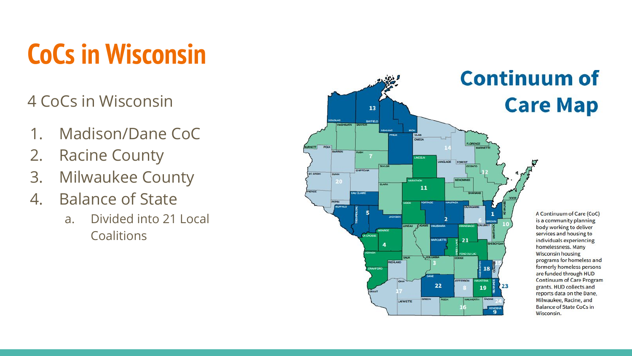# **CoCs in Wisconsin**

#### 4 CoCs in Wisconsin

- 1. Madison/Dane CoC
- 2. Racine County
- 3. Milwaukee County
- 4. Balance of State
	- a. Divided into 21 Local **Coalitions**

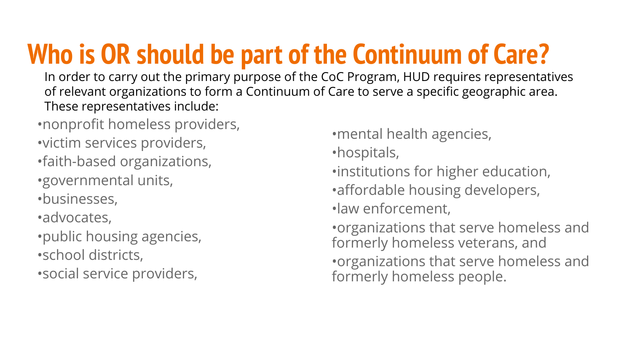# **Who is OR should be part of the Continuum of Care?**

In order to carry out the primary purpose of the CoC Program, HUD requires representatives of relevant organizations to form a Continuum of Care to serve a specific geographic area. These representatives include:

•nonprofit homeless providers,

•victim services providers,

•faith-based organizations, •governmental units,

•businesses,

•advocates,

•public housing agencies, •school districts,

•social service providers,

•mental health agencies,

•hospitals,

•institutions for higher education,

•affordable housing developers,

•law enforcement,

•organizations that serve homeless and formerly homeless veterans, and •organizations that serve homeless and formerly homeless people.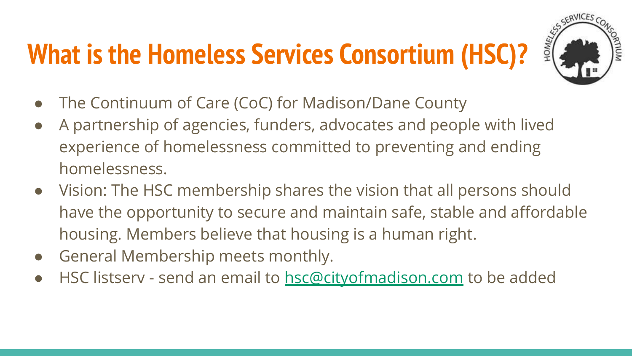# **What is the Homeless Services Consortium (HSC)?**



- The Continuum of Care (CoC) for Madison/Dane County
- A partnership of agencies, funders, advocates and people with lived experience of homelessness committed to preventing and ending homelessness.
- Vision: The HSC membership shares the vision that all persons should have the opportunity to secure and maintain safe, stable and affordable housing. Members believe that housing is a human right.
- General Membership meets monthly.
- HSC listserv send an email to [hsc@cityofmadison.com](mailto:hsc@cityofmadison.com) to be added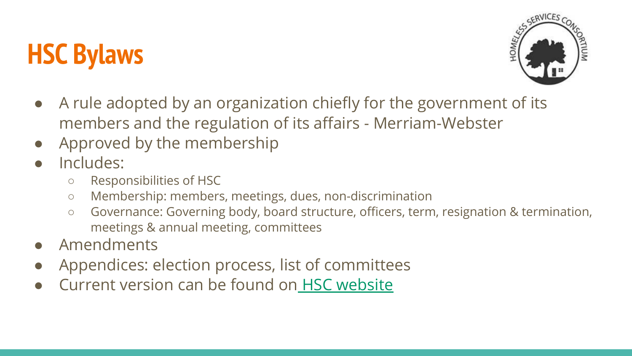# **HSC Bylaws**



- A rule adopted by an organization chiefly for the government of its members and the regulation of its affairs - Merriam-Webster
- Approved by the membership
- Includes:
	- Responsibilities of HSC
	- Membership: members, meetings, dues, non-discrimination
	- Governance: Governing body, board structure, officers, term, resignation & termination, meetings & annual meeting, committees
- **Amendments**
- Appendices: election process, list of committees
- Current version can be found on [HSC website](https://www.danecountyhomeless.org/governance)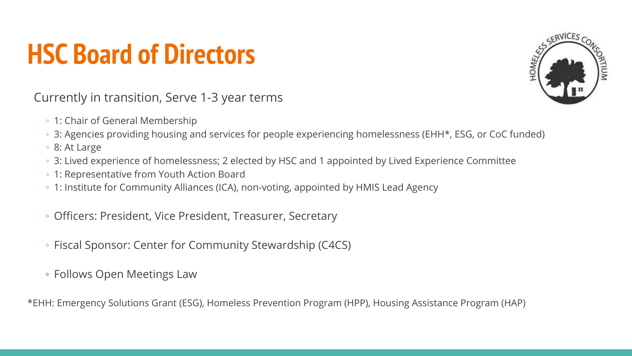### **HSC Board of Directors**



Currently in transition, Serve 1-3 year terms

- 1: Chair of General Membership
- 3: Agencies providing housing and services for people experiencing homelessness (EHH\*, ESG, or CoC funded)
- 8: At Large
- 3: Lived experience of homelessness; 2 elected by HSC and 1 appointed by Lived Experience Committee
- 1: Representative from Youth Action Board
- 1: Institute for Community Alliances (ICA), non-voting, appointed by HMIS Lead Agency
- Officers: President, Vice President, Treasurer, Secretary
- Fiscal Sponsor: Center for Community Stewardship (C4CS)
- Follows Open Meetings Law

\*EHH: Emergency Solutions Grant (ESG), Homeless Prevention Program (HPP), Housing Assistance Program (HAP)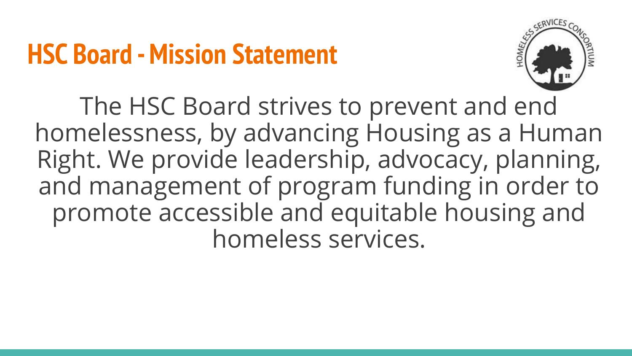### **HSC Board - Mission Statement**



The HSC Board strives to prevent and end homelessness, by advancing Housing as a Human Right. We provide leadership, advocacy, planning, and management of program funding in order to promote accessible and equitable housing and homeless services.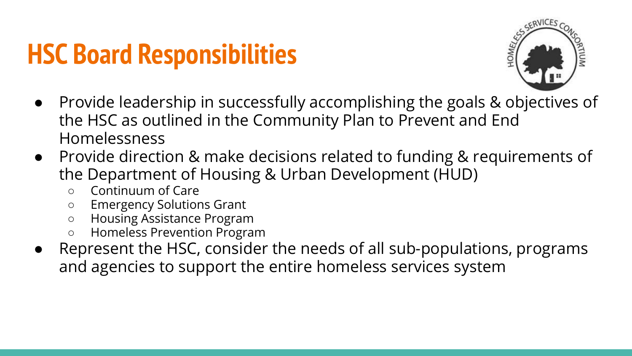### **HSC Board Responsibilities**



- Provide leadership in successfully accomplishing the goals & objectives of the HSC as outlined in the Community Plan to Prevent and End Homelessness
- Provide direction & make decisions related to funding & requirements of the Department of Housing & Urban Development (HUD)
	- Continuum of Care
	- Emergency Solutions Grant
	- Housing Assistance Program
	- Homeless Prevention Program
- Represent the HSC, consider the needs of all sub-populations, programs and agencies to support the entire homeless services system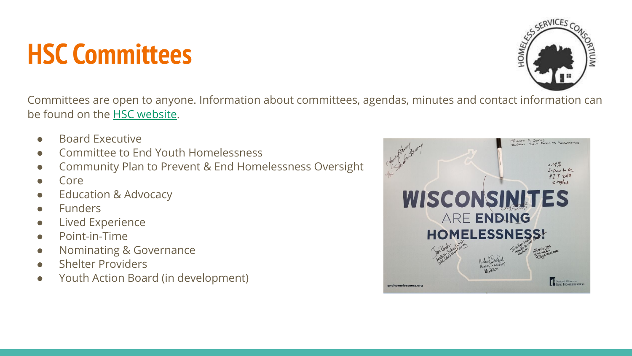### **HSC Committees**



Committees are open to anyone. Information about committees, agendas, minutes and contact information can be found on the [HSC website.](https://www.danecountyhomeless.org/committees)

- Board Executive
- Committee to End Youth Homelessness
- Community Plan to Prevent & End Homelessness Oversight
- Core
- **Education & Advocacy**
- **Funders**
- **Lived Experience**
- Point-in-Time
- Nominating & Governance
- **Shelter Providers**
- Youth Action Board (in development)

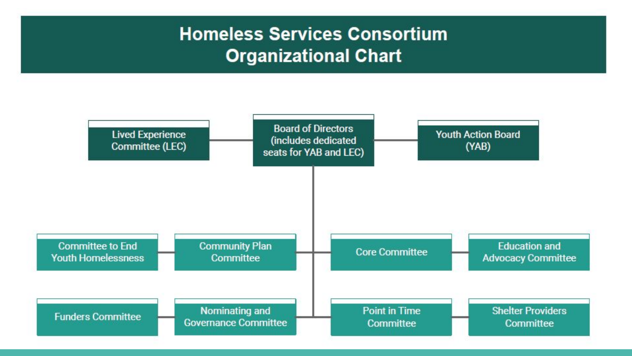#### **Homeless Services Consortium Organizational Chart**

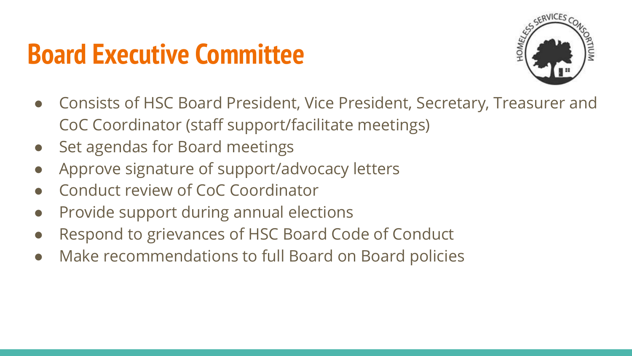### **Board Executive Committee**



- Consists of HSC Board President, Vice President, Secretary, Treasurer and CoC Coordinator (staff support/facilitate meetings)
- Set agendas for Board meetings
- Approve signature of support/advocacy letters
- Conduct review of CoC Coordinator
- Provide support during annual elections
- Respond to grievances of HSC Board Code of Conduct
- Make recommendations to full Board on Board policies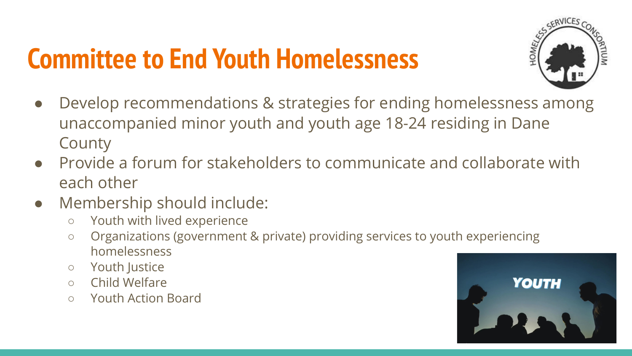### **Committee to End Youth Homelessness**



- Develop recommendations & strategies for ending homelessness among unaccompanied minor youth and youth age 18-24 residing in Dane **County**
- Provide a forum for stakeholders to communicate and collaborate with each other
- Membership should include:
	- Youth with lived experience
	- Organizations (government & private) providing services to youth experiencing homelessness
	- Youth Justice
	- Child Welfare
	- Youth Action Board

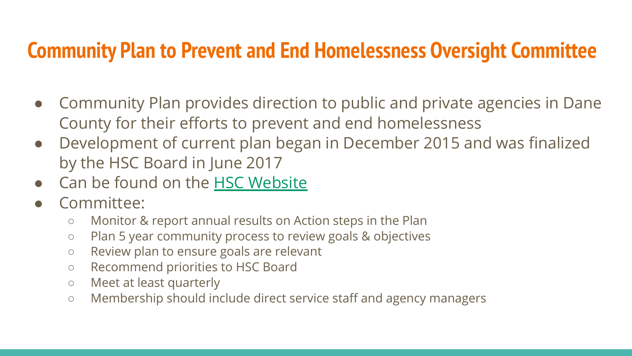#### **Community Plan to Prevent and End Homelessness Oversight Committee**

- Community Plan provides direction to public and private agencies in Dane County for their efforts to prevent and end homelessness
- Development of current plan began in December 2015 and was finalized by the HSC Board in June 2017
- Can be found on the [HSC Website](https://www.danecountyhomeless.org/governance)
- Committee:
	- Monitor & report annual results on Action steps in the Plan
	- Plan 5 year community process to review goals & objectives
	- Review plan to ensure goals are relevant
	- Recommend priorities to HSC Board
	- Meet at least quarterly
	- Membership should include direct service staff and agency managers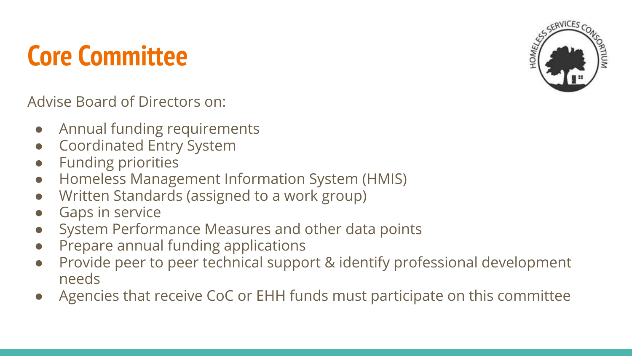### **Core Committee**



- Annual funding requirements
- Coordinated Entry System
- Funding priorities
- Homeless Management Information System (HMIS)
- Written Standards (assigned to a work group)
- Gaps in service
- System Performance Measures and other data points
- Prepare annual funding applications
- Provide peer to peer technical support & identify professional development needs
- Agencies that receive CoC or EHH funds must participate on this committee

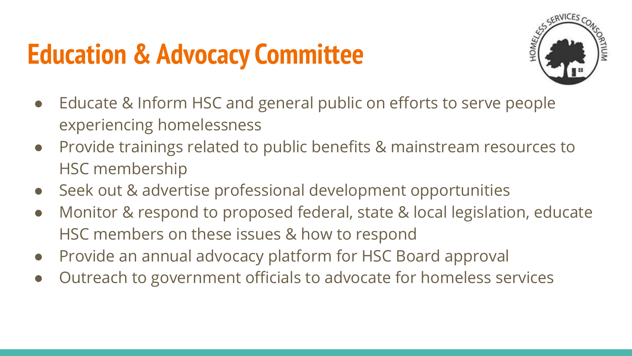### **Education & Advocacy Committee**



- Educate & Inform HSC and general public on efforts to serve people experiencing homelessness
- Provide trainings related to public benefits & mainstream resources to HSC membership
- Seek out & advertise professional development opportunities
- Monitor & respond to proposed federal, state & local legislation, educate HSC members on these issues & how to respond
- Provide an annual advocacy platform for HSC Board approval
- Outreach to government officials to advocate for homeless services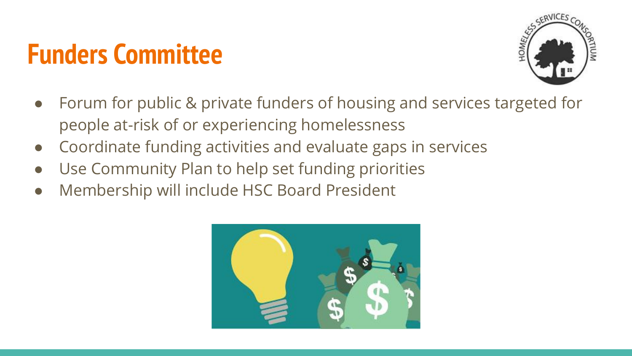### **Funders Committee**



- Forum for public & private funders of housing and services targeted for people at-risk of or experiencing homelessness
- Coordinate funding activities and evaluate gaps in services
- Use Community Plan to help set funding priorities
- Membership will include HSC Board President

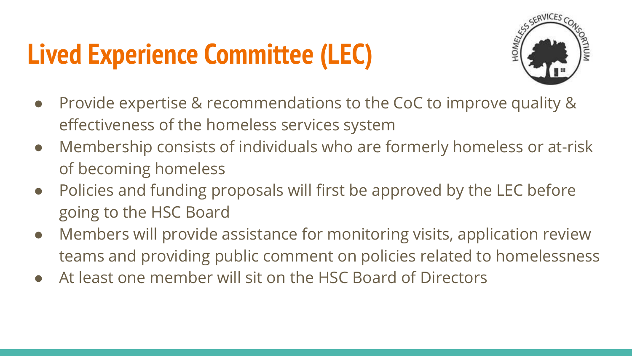# **Lived Experience Committee (LEC)**



- Provide expertise & recommendations to the CoC to improve quality & effectiveness of the homeless services system
- Membership consists of individuals who are formerly homeless or at-risk of becoming homeless
- Policies and funding proposals will first be approved by the LEC before going to the HSC Board
- Members will provide assistance for monitoring visits, application review teams and providing public comment on policies related to homelessness
- At least one member will sit on the HSC Board of Directors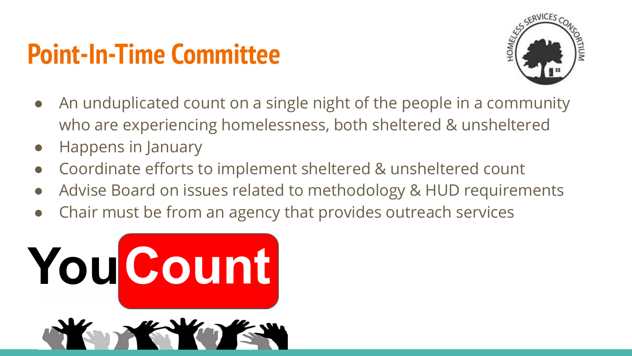### **Point-In-Time Committee**



- An unduplicated count on a single night of the people in a community who are experiencing homelessness, both sheltered & unsheltered
- Happens in January
- Coordinate efforts to implement sheltered & unsheltered count
- Advise Board on issues related to methodology & HUD requirements
- Chair must be from an agency that provides outreach services

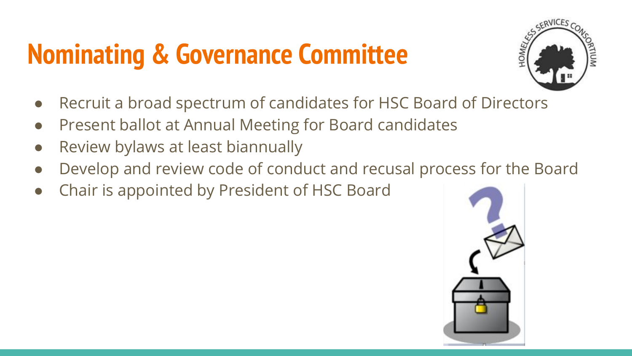# **Nominating & Governance Committee**



- Recruit a broad spectrum of candidates for HSC Board of Directors
- Present ballot at Annual Meeting for Board candidates
- Review bylaws at least biannually
- Develop and review code of conduct and recusal process for the Board
- Chair is appointed by President of HSC Board

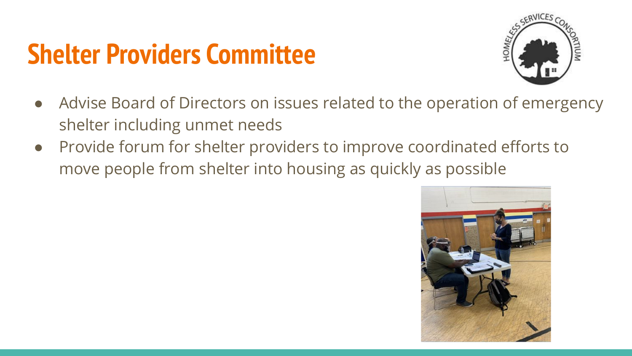### **Shelter Providers Committee**



- Advise Board of Directors on issues related to the operation of emergency shelter including unmet needs
- Provide forum for shelter providers to improve coordinated efforts to move people from shelter into housing as quickly as possible

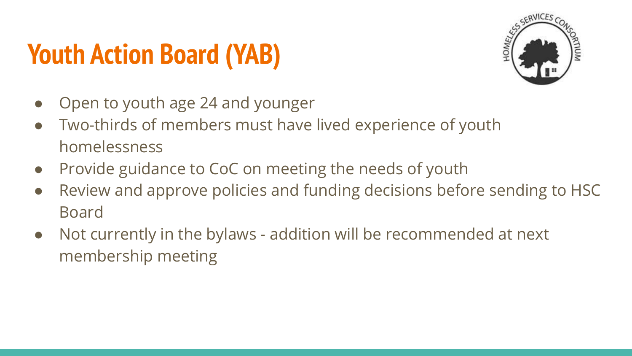# **Youth Action Board (YAB)**



- Open to youth age 24 and younger
- Two-thirds of members must have lived experience of youth homelessness
- Provide guidance to CoC on meeting the needs of youth
- Review and approve policies and funding decisions before sending to HSC Board
- Not currently in the bylaws addition will be recommended at next membership meeting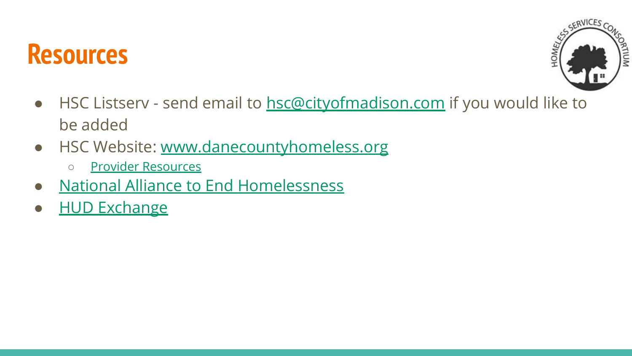### **Resources**



- HSC Listserv send email to [hsc@cityofmadison.com](mailto:hsc@cityofmadison.com) if you would like to be added
- HSC Website: [www.danecountyhomeless.org](http://www.danecountyhomeless.org)
	- [Provider Resources](https://www.danecountyhomeless.org/copy-of-event-calendar)
- [National Alliance to End Homelessness](https://endhomelessness.org/)
- [HUD Exchange](https://www.hudexchange.info/)